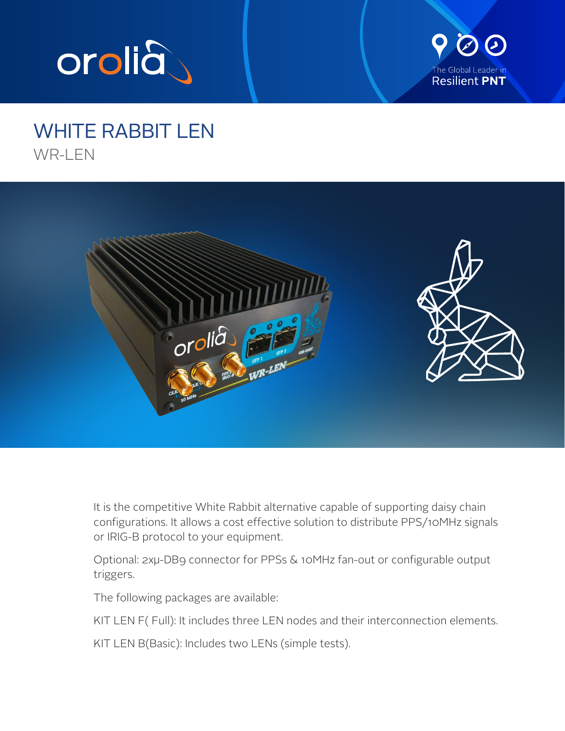



## WHITE RABBIT LEN WR-LEN



It is the competitive White Rabbit alternative capable of supporting daisy chain configurations. It allows a cost effective solution to distribute PPS/10MHz signals or IRIG-B protocol to your equipment.

Optional: 2xµ-DB9 connector for PPSs & 10MHz fan-out or configurable output triggers.

The following packages are available:

KIT LEN F( Full): It includes three LEN nodes and their interconnection elements.

KIT LEN B(Basic): Includes two LENs (simple tests).